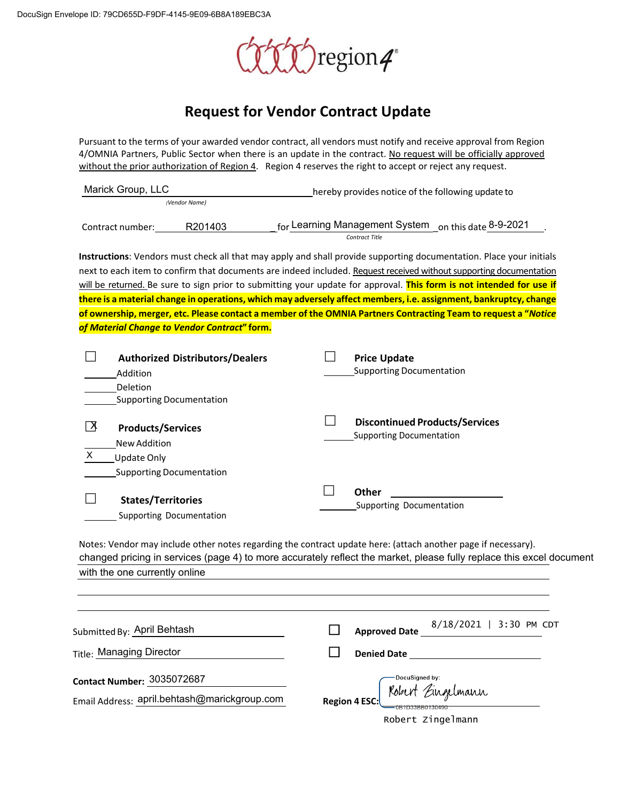

# **Request for Vendor Contract Update**

Pursuant to the terms of your awarded vendor contract, all vendors must notify and receive approval from Region 4/OMNIA Partners, Public Sector when there is an update in the contract. No request will be officially approved without the prior authorization of Region 4. Region 4 reserves the right to accept or reject any request.

| Marick Group, LLC                                                                                                         | hereby provides notice of the following update to                                                                                                                                                                                                                                                                                                                                                                                                                                                                                                                                                        |
|---------------------------------------------------------------------------------------------------------------------------|----------------------------------------------------------------------------------------------------------------------------------------------------------------------------------------------------------------------------------------------------------------------------------------------------------------------------------------------------------------------------------------------------------------------------------------------------------------------------------------------------------------------------------------------------------------------------------------------------------|
| (Vendor Name)                                                                                                             |                                                                                                                                                                                                                                                                                                                                                                                                                                                                                                                                                                                                          |
| R201403<br>Contract number:                                                                                               | for Learning Management System on this date 8-9-2021<br>Contract Title                                                                                                                                                                                                                                                                                                                                                                                                                                                                                                                                   |
|                                                                                                                           | Instructions: Vendors must check all that may apply and shall provide supporting documentation. Place your initials<br>next to each item to confirm that documents are indeed included. Request received without supporting documentation<br>will be returned. Be sure to sign prior to submitting your update for approval. This form is not intended for use if<br>there is a material change in operations, which may adversely affect members, i.e. assignment, bankruptcy, change<br>of ownership, merger, etc. Please contact a member of the OMNIA Partners Contracting Team to request a "Notice |
| of Material Change to Vendor Contract" form.                                                                              |                                                                                                                                                                                                                                                                                                                                                                                                                                                                                                                                                                                                          |
| <b>Authorized Distributors/Dealers</b><br>Addition<br>Deletion<br><b>Supporting Documentation</b>                         | <b>Price Update</b><br><b>Supporting Documentation</b>                                                                                                                                                                                                                                                                                                                                                                                                                                                                                                                                                   |
| ΓΧ<br><b>Products/Services</b><br><b>New Addition</b><br>$\pmb{\times}$<br>Update Only<br><b>Supporting Documentation</b> | <b>Discontinued Products/Services</b><br><b>Supporting Documentation</b>                                                                                                                                                                                                                                                                                                                                                                                                                                                                                                                                 |
| <b>States/Territories</b><br>Supporting Documentation                                                                     | <b>Other</b><br>Supporting Documentation                                                                                                                                                                                                                                                                                                                                                                                                                                                                                                                                                                 |
| with the one currently online                                                                                             | Notes: Vendor may include other notes regarding the contract update here: (attach another page if necessary).<br>changed pricing in services (page 4) to more accurately reflect the market, please fully replace this excel document                                                                                                                                                                                                                                                                                                                                                                    |
| Submitted By: April Behtash                                                                                               | 8/18/2021   3:30 PM CDT<br><b>Approved Date</b>                                                                                                                                                                                                                                                                                                                                                                                                                                                                                                                                                          |
| Title: Managing Director                                                                                                  | <b>Denied Date</b>                                                                                                                                                                                                                                                                                                                                                                                                                                                                                                                                                                                       |
| <b>Contact Number: 3035072687</b><br>Email Address: april.behtash@marickgroup.com                                         | DocuSigned by:<br><b>Region 4 ESO</b>                                                                                                                                                                                                                                                                                                                                                                                                                                                                                                                                                                    |

Robert Zingelmann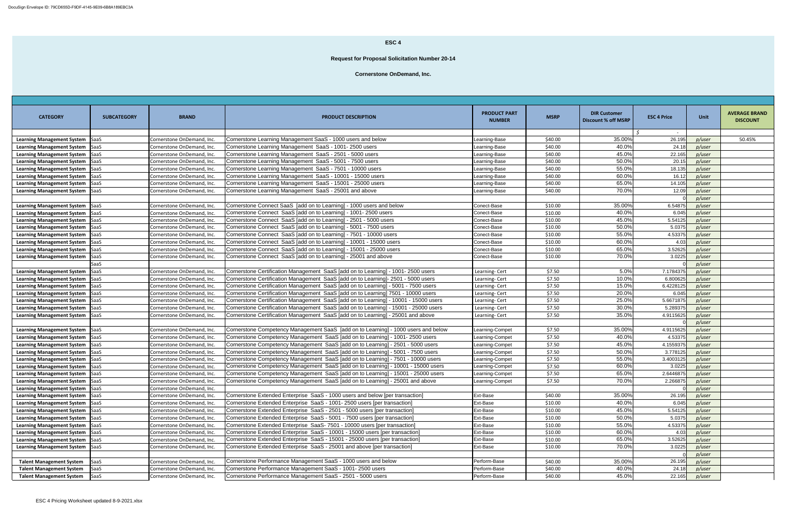| <b>CATEGORY</b>                   | <b>SUBCATEGORY</b> | <b>BRAND</b>               | <b>PRODUCT DESCRIPTION</b>                                                           | <b>PRODUCT PART</b><br><b>NUMBER</b> | <b>MSRP</b> | <b>DIR Customer</b><br><b>Discount % off MSRP</b> | <b>ESC 4 Price</b> | Unit   | <b>AVERAGE BRAND</b><br><b>DISCOUNT</b> |
|-----------------------------------|--------------------|----------------------------|--------------------------------------------------------------------------------------|--------------------------------------|-------------|---------------------------------------------------|--------------------|--------|-----------------------------------------|
| <b>Learning Management System</b> | SaaS               | Cornerstone OnDemand, Inc. | Cornerstone Learning Management SaaS - 1000 users and below                          | earning-Base                         | \$40.00     | 35.00%                                            | $\sim$<br>26.195   | p/user | 50.45%                                  |
| <b>Learning Management System</b> | SaaS               | Cornerstone OnDemand, Inc. | Cornerstone Learning Management SaaS - 1001-2500 users                               | Learning-Base                        | \$40.00     | 40.0%                                             | 24.18              | p/user |                                         |
| <b>Learning Management System</b> | SaaS               | Cornerstone OnDemand, Inc. | Cornerstone Learning Management SaaS - 2501 - 5000 users                             | Learning-Base                        | \$40.00     | 45.0%                                             | 22.165             | p/user |                                         |
| <b>Learning Management System</b> | <b>SaaS</b>        | Cornerstone OnDemand, Inc. | Cornerstone Learning Management SaaS - 5001 - 7500 users                             | Learning-Base                        | \$40.00     | 50.0%                                             | 20.15              | p/user |                                         |
| <b>Learning Management System</b> | SaaS               | Cornerstone OnDemand, Inc. | Cornerstone Learning Management SaaS - 7501 - 10000 users                            | Learning-Base                        | \$40.00     | 55.0%                                             | 18.135             | p/user |                                         |
| <b>Learning Management System</b> | <b>SaaS</b>        | Cornerstone OnDemand, Inc. | Cornerstone Learning Management SaaS - 10001 - 15000 users                           | Learning-Base                        | \$40.00     | 60.0%                                             | 16.12              | p/user |                                         |
| <b>Learning Management System</b> | <b>SaaS</b>        | Cornerstone OnDemand, Inc. | Cornerstone Learning Management SaaS - 15001 - 25000 users                           | Learning-Base                        | \$40.00     | 65.0%                                             | 14.105             | p/user |                                         |
| <b>Learning Management System</b> | SaaS               | Cornerstone OnDemand, Inc. | Cornerstone Learning Management SaaS - 25001 and above                               | Learning-Base                        | \$40.00     | 70.0%                                             | 12.09              | p/user |                                         |
|                                   |                    |                            |                                                                                      |                                      |             |                                                   |                    | p/user |                                         |
| <b>Learning Management System</b> | SaaS               | Cornerstone OnDemand, Inc. | Cornerstone Connect SaaS [add on to Learning] - 1000 users and below                 | Conect-Base                          | \$10.00     | 35.00%                                            | 6.54875            | p/user |                                         |
| <b>Learning Management System</b> | SaaS               | Cornerstone OnDemand, Inc. | Cornerstone Connect SaaS [add on to Learning] - 1001- 2500 users                     | Conect-Base                          | \$10.00     | 40.0%                                             | 6.045              | p/user |                                         |
| <b>Learning Management System</b> | SaaS               | Cornerstone OnDemand, Inc. | Cornerstone Connect SaaS [add on to Learning] - 2501 - 5000 users                    | Conect-Base                          | \$10.00     | 45.0%                                             | 5.54125            | p/user |                                         |
| <b>Learning Management System</b> | SaaS               | Cornerstone OnDemand, Inc. | Cornerstone Connect SaaS [add on to Learning] - 5001 - 7500 users                    | Conect-Base                          | \$10.00     | 50.0%                                             | 5.0375             | p/user |                                         |
| <b>Learning Management System</b> | SaaS               | Cornerstone OnDemand, Inc. | Cornerstone Connect SaaS [add on to Learning] - 7501 - 10000 users                   | Conect-Base                          | \$10.00     | 55.0%                                             | 4.53375            | p/user |                                         |
| <b>Learning Management System</b> | SaaS               | Cornerstone OnDemand, Inc. | Cornerstone Connect SaaS [add on to Learning] - 10001 - 15000 users                  | Conect-Base                          | \$10.00     | 60.0%                                             | 4.03               | p/user |                                         |
| <b>Learning Management System</b> | <b>SaaS</b>        | Cornerstone OnDemand, Inc. | Cornerstone Connect SaaS [add on to Learning] - 15001 - 25000 users                  | Conect-Base                          | \$10.00     | 65.0%                                             | 3.52625            | p/user |                                         |
| <b>Learning Management System</b> | SaaS               | Cornerstone OnDemand, Inc. | Cornerstone Connect SaaS [add on to Learning] - 25001 and above                      | Conect-Base                          | \$10.00     | 70.0%                                             | 3.0225             | p/user |                                         |
|                                   | SaaS               |                            |                                                                                      |                                      |             |                                                   |                    | p/user |                                         |
| <b>Learning Management System</b> | <b>SaaS</b>        | Cornerstone OnDemand, Inc. | Cornerstone Certification Management SaaS [add on to Learning] - 1001-2500 users     | Learning-Cert                        | \$7.50      | 5.0%                                              | 7.1784375          | p/user |                                         |
| <b>Learning Management System</b> | SaaS               | Cornerstone OnDemand, Inc. | Cornerstone Certification Management SaaS [add on to Learning]- 2501 - 5000 users    | Learning-Cert                        | \$7.50      | 10.0%                                             | 6.800625           | p/user |                                         |
| <b>Learning Management System</b> | <b>SaaS</b>        | Cornerstone OnDemand, Inc. | Cornerstone Certification Management SaaS [add on to Learning] - 5001 - 7500 users   | Learning-Cert                        | \$7.50      | 15.0%                                             | 6.4228125          | p/user |                                         |
| <b>Learning Management System</b> | SaaS               | Cornerstone OnDemand, Inc. | Cornerstone Certification Management SaaS [add on to Learning] 7501 - 10000 users    | Learning-Cert                        | \$7.50      | 20.0%                                             | 6.045              | p/user |                                         |
| <b>Learning Management System</b> | SaaS               | Cornerstone OnDemand, Inc. | Cornerstone Certification Management SaaS [add on to Learning] - 10001 - 15000 users | Learning-Cert                        | \$7.50      | 25.0%                                             | 5.6671875          | p/user |                                         |
| <b>Learning Management System</b> | SaaS               | Cornerstone OnDemand, Inc. | Cornerstone Certification Management SaaS [add on to Learning] - 15001 - 25000 users | Learning-Cert                        | \$7.50      | 30.0%                                             | 5.289375           | p/user |                                         |
| <b>Learning Management System</b> | SaaS               | Cornerstone OnDemand, Inc. | Cornerstone Certification Management SaaS [add on to Learning] - 25001 and above     | Learning-Cert                        | \$7.50      | 35.0%                                             | 4.9115625          | p/user |                                         |
|                                   |                    |                            |                                                                                      |                                      |             |                                                   |                    | p/user |                                         |
| <b>Learning Management System</b> | SaaS               | Cornerstone OnDemand, Inc. | Cornerstone Competency Management SaaS [add on to Learning] - 1000 users and below   | Learning-Compet                      | \$7.50      | 35.00%                                            | 4.9115625          | p/user |                                         |
| <b>Learning Management System</b> | SaaS               | Cornerstone OnDemand, Inc. | Cornerstone Competency Management SaaS [add on to Learning] - 1001-2500 users        | Learning-Compet                      | \$7.50      | 40.0%                                             | 4.53375            | p/user |                                         |
| <b>Learning Management System</b> | <b>SaaS</b>        | Cornerstone OnDemand, Inc. | Cornerstone Competency Management SaaS [add on to Learning] - 2501 - 5000 users      | Learning-Compet                      | \$7.50      | 45.0%                                             | 4.1559375          | p/user |                                         |
| <b>Learning Management System</b> | SaaS               | Cornerstone OnDemand, Inc. | Cornerstone Competency Management SaaS [add on to Learning] - 5001 - 7500 users      | Learning-Compet                      | \$7.50      | 50.0%                                             | 3.778125           | p/user |                                         |
| <b>Learning Management System</b> | SaaS               | Cornerstone OnDemand, Inc. | Cornerstone Competency Management SaaS [add on to Learning] - 7501 - 10000 users     | Learning-Compet                      | \$7.50      | 55.0%                                             | 3.4003125          | p/user |                                         |
| <b>Learning Management System</b> | SaaS               | Cornerstone OnDemand, Inc. | Cornerstone Competency Management SaaS [add on to Learning] - 10001 - 15000 users    | Learning-Compet                      | \$7.50      | 60.0%                                             | 3.0225             | p/user |                                         |
| <b>Learning Management System</b> | SaaS               | Cornerstone OnDemand, Inc. | Cornerstone Competency Management SaaS [add on to Learning] - 15001 - 25000 users    | Learning-Compet                      | \$7.50      | 65.0%                                             | 2.6446875          | p/user |                                         |
| <b>Learning Management System</b> | SaaS               | Cornerstone OnDemand, Inc. | Cornerstone Competency Management SaaS [add on to Learning] - 25001 and above        | Learning-Compet                      | \$7.50      | 70.0%                                             | 2.266875           | p/user |                                         |
| <b>Learning Management System</b> | SaaS               | Cornerstone OnDemand, Inc. |                                                                                      |                                      |             |                                                   |                    | p/user |                                         |
| <b>Learning Management System</b> | <b>SaaS</b>        | Cornerstone OnDemand, Inc. | Cornerstone Extended Enterprise SaaS - 1000 users and below [per transaction]        | <b>Ext-Base</b>                      | \$40.00     | 35.00%                                            | 26.195             | p/user |                                         |
| <b>Learning Management System</b> | SaaS               | Cornerstone OnDemand, Inc. | Cornerstone Extended Enterprise SaaS - 1001-2500 users [per transaction]             | Ext-Base                             | \$10.00     | 40.0%                                             | 6.045              | p/user |                                         |
| <b>Learning Management System</b> | SaaS               | Cornerstone OnDemand, Inc. | Cornerstone Extended Enterprise SaaS - 2501 - 5000 users [per transaction]           | Ext-Base                             | \$10.00     | 45.0%                                             | 5.54125            | p/user |                                         |
| <b>Learning Management System</b> | SaaS               | Cornerstone OnDemand, Inc. | Cornerstone Extended Enterprise SaaS - 5001 - 7500 users [per transaction]           | Ext-Base                             | \$10.00     | 50.0%                                             | 5.0375             | p/user |                                         |
| <b>Learning Management System</b> | SaaS               | Cornerstone OnDemand, Inc. | Cornerstone Extended Enterprise SaaS-7501 - 10000 users [per transaction]            | Ext-Base                             | \$10.00     | 55.0%                                             | 4.53375            | p/user |                                         |
| <b>Learning Management System</b> | SaaS               | Cornerstone OnDemand, Inc. | Cornerstone Extended Enterprise SaaS - 10001 - 15000 users [per transaction]         | Ext-Base                             | \$10.00     | 60.0%                                             | 4.03               | p/user |                                         |
| <b>Learning Management System</b> | SaaS               | Cornerstone OnDemand, Inc. | Cornerstone Extended Enterprise SaaS - 15001 - 25000 users [per transaction]         | Ext-Base                             | \$10.00     | 65.0%                                             | 3.52625            | p/user |                                         |
| <b>Learning Management System</b> | SaaS               | Cornerstone OnDemand, Inc. | Cornerstone Extended Enterprise SaaS - 25001 and above [per transaction]             | Ext-Base                             | \$10.00     | 70.0%                                             | 3.0225             | p/user |                                         |
|                                   |                    |                            |                                                                                      |                                      |             |                                                   |                    | p/user |                                         |
| <b>Talent Management System</b>   | SaaS               | Cornerstone OnDemand, Inc. | Cornerstone Performance Management SaaS - 1000 users and below                       | Perform-Base                         | \$40.00     | 35.00%                                            | 26.195             | p/user |                                         |
| <b>Talent Management System</b>   | SaaS               | Cornerstone OnDemand, Inc. | Cornerstone Performance Management SaaS - 1001-2500 users                            | Perform-Base                         | \$40.00     | 40.0%                                             | 24.18              | p/user |                                         |
| <b>Talent Management System</b>   | SaaS               | Cornerstone OnDemand, Inc. | Cornerstone Performance Management SaaS - 2501 - 5000 users                          | Perform-Base                         | \$40.00     | 45.0%                                             | 22.165             | p/user |                                         |

### **ESC 4**

# **Request for Proposal Solicitation Number 20-14**

## **Cornerstone OnDemand, Inc.**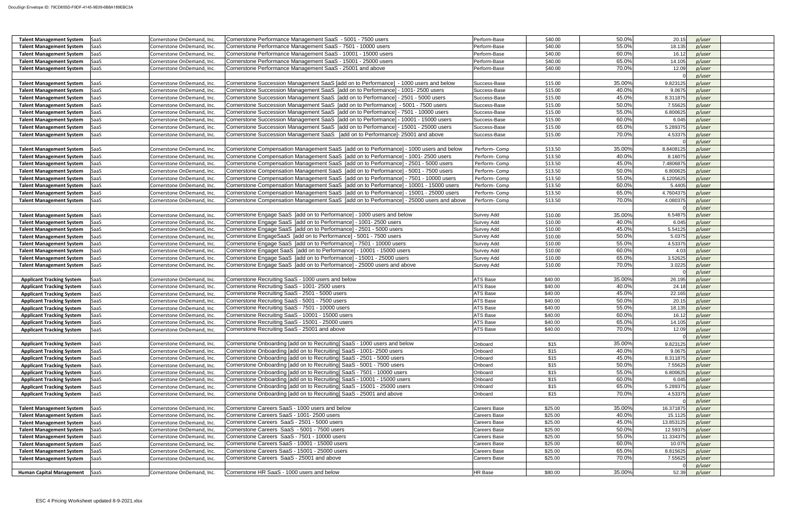| <b>Talent Management System</b><br><b>SaaS</b>  | Cornerstone OnDemand, Inc. | Cornerstone Performance Management SaaS - 5001 - 7500 users                              | Perform-Base        | \$40.00 | 50.0%  | 20.15     | p/user |  |
|-------------------------------------------------|----------------------------|------------------------------------------------------------------------------------------|---------------------|---------|--------|-----------|--------|--|
| <b>Talent Management System</b><br><b>SaaS</b>  | Cornerstone OnDemand, Inc. | Cornerstone Performance Management SaaS - 7501 - 10000 users                             | Perform-Base        | \$40.00 | 55.0%  | 18.135    | p/user |  |
| SaaS<br><b>Talent Management System</b>         | Cornerstone OnDemand, Inc  | Cornerstone Performance Management SaaS - 10001 - 15000 users                            | Perform-Base        | \$40.00 | 60.0%  | 16.12     | p/user |  |
| <b>Talent Management System</b><br><b>SaaS</b>  | Cornerstone OnDemand, Inc. | Cornerstone Performance Management SaaS - 15001 - 25000 users                            | Perform-Base        | \$40.00 | 65.0%  | 14.105    | p/user |  |
| <b>SaaS</b>                                     | Cornerstone OnDemand, Inc. | Cornerstone Performance Management SaaS - 25001 and above                                | Perform-Base        | \$40.00 | 70.0%  | 12.09     |        |  |
| <b>Talent Management System</b>                 |                            |                                                                                          |                     |         |        |           | p/user |  |
|                                                 |                            |                                                                                          |                     |         |        |           | p/user |  |
| <b>Talent Management System</b><br><b>SaaS</b>  | Cornerstone OnDemand, Inc. | Cornerstone Succession Management SaaS [add on to Performance] - 1000 users and below    | Success-Base        | \$15.00 | 35.00% | 9.823125  | p/user |  |
| <b>Talent Management System</b><br>SaaS         | Cornerstone OnDemand, Inc. | Cornerstone Succession Management SaaS [add on to Performance] - 1001-2500 users         | Success-Base        | \$15.00 | 40.0%  | 9.0675    | p/user |  |
| <b>Talent Management System</b><br>SaaS         | Cornerstone OnDemand, Inc. | Cornerstone Succession Management SaaS [add on to Performance] - 2501 - 5000 users       | Success-Base        | \$15.00 | 45.0%  | 8.311875  | p/user |  |
| <b>Talent Management System</b><br>SaaS         | Cornerstone OnDemand, Inc. | Cornerstone Succession Management SaaS [add on to Performance] - 5001 - 7500 users       | Success-Base        | \$15.00 | 50.0%  | 7.55625   | p/user |  |
| SaaS<br><b>Talent Management System</b>         | Cornerstone OnDemand, Inc. | Cornerstone Succession Management SaaS [add on to Performance] - 7501 - 10000 users      | Success-Base        | \$15.00 | 55.0%  | 6.800625  | p/user |  |
| <b>Talent Management System</b><br>SaaS         | Cornerstone OnDemand, Inc  | Cornerstone Succession Management SaaS [add on to Performance] - 10001 - 15000 users     | Success-Base        | \$15.00 | 60.0%  | 6.045     | p/user |  |
| <b>Talent Management System</b><br><b>SaaS</b>  | Cornerstone OnDemand, Inc. | Cornerstone Succession Management SaaS [add on to Performance] - 15001 - 25000 users     | Success-Base        | \$15.00 | 65.0%  | 5.289375  | p/user |  |
|                                                 |                            |                                                                                          |                     |         |        |           |        |  |
| <b>Talent Management System</b><br>SaaS         | Cornerstone OnDemand, Inc. | Cornerstone Succession Management SaaS [add on to Performance]- 25001 and above          | Success-Base        | \$15.00 | 70.0%  | 4.53375   | p/user |  |
|                                                 |                            |                                                                                          |                     |         |        |           | p/user |  |
| <b>Talent Management System</b><br><b>SaaS</b>  | Cornerstone OnDemand, Inc. | Cornerstone Compensation Management SaaS [add on to Performance] - 1000 users and below  | Perform-Comp        | \$13.50 | 35.00% | 8.8408125 | p/user |  |
| <b>Talent Management System</b><br>SaaS         | Cornerstone OnDemand, Inc. | Cornerstone Compensation Management SaaS [add on to Performance] - 1001-2500 users       | Perform-Comp        | \$13.50 | 40.0%  | 8.16075   | p/user |  |
| SaaS<br><b>Talent Management System</b>         | Cornerstone OnDemand, Inc. | Cornerstone Compensation Management SaaS [add on to Performance] - 2501 - 5000 users     | Perform-Comp        | \$13.50 | 45.0%  | 7.4806875 | p/user |  |
| SaaS<br><b>Talent Management System</b>         | Cornerstone OnDemand, Inc. | Cornerstone Compensation Management SaaS [add on to Performance] - 5001 - 7500 users     | Perform-Comp        | \$13.50 | 50.0%  | 6.800625  | p/user |  |
| <b>SaaS</b><br><b>Talent Management System</b>  | Cornerstone OnDemand, Inc. | Cornerstone Compensation Management SaaS [add on to Performance] - 7501 - 10000 users    | Perform-Comp        | \$13.50 | 55.0%  | 6.1205625 | p/user |  |
| <b>Talent Management System</b><br>SaaS         | Cornerstone OnDemand, Inc. | Cornerstone Compensation Management SaaS [add on to Performance] - 10001 - 15000 users   | Perform-Comp        | \$13.50 | 60.0%  | 5.4405    | p/user |  |
| <b>Talent Management System</b><br><b>SaaS</b>  | Cornerstone OnDemand, Inc. | Cornerstone Compensation Management SaaS [add on to Performance] - 15001 - 25000 users   | Perform-Comp        | \$13.50 | 65.0%  | 4.7604375 | p/user |  |
| <b>SaaS</b>                                     |                            | Cornerstone Compensation Management SaaS [add on to Performance] - 25000 users and above |                     | \$13.50 | 70.0%  | 4.080375  |        |  |
| <b>Talent Management System</b>                 | Cornerstone OnDemand, Inc. |                                                                                          | Perform-Comp        |         |        |           | p/user |  |
|                                                 |                            |                                                                                          |                     |         |        |           | p/user |  |
| <b>Talent Management System</b><br>SaaS         | Cornerstone OnDemand, Inc. | Cornerstone Engage SaaS [add on to Performance] - 1000 users and below                   | <b>Survey Add</b>   | \$10.00 | 35.00% | 6.54875   | p/user |  |
| <b>SaaS</b><br><b>Talent Management System</b>  | Cornerstone OnDemand, Inc. | Cornerstone Engage SaaS [add on to Performance] - 1001- 2500 users                       | <b>Survey Add</b>   | \$10.00 | 40.0%  | 6.045     | p/user |  |
| <b>SaaS</b><br><b>Talent Management System</b>  | Cornerstone OnDemand, Inc. | Cornerstone Engage SaaS [add on to Performance] - 2501 - 5000 users                      | <b>Survey Add</b>   | \$10.00 | 45.0%  | 5.54125   | p/user |  |
| <b>Talent Management System</b><br>SaaS         | Cornerstone OnDemand, Inc. | Cornerstone EngageSaaS [add on to Performance] - 5001 - 7500 users                       | <b>Survey Add</b>   | \$10.00 | 50.0%  | 5.0375    | p/user |  |
| <b>Talent Management System</b><br><b>SaaS</b>  | Cornerstone OnDemand, Inc. | Cornerstone Engage SaaS [add on to Performance] - 7501 - 10000 users                     | <b>Survey Add</b>   | \$10.00 | 55.0%  | 4.53375   | p/user |  |
| <b>Talent Management System</b><br>SaaS         | Cornerstone OnDemand, Inc. | Cornerstone Engaget SaaS [add on to Performance] - 10001 - 15000 users                   | <b>Survey Add</b>   | \$10.00 | 60.0%  | 4.03      | p/user |  |
| SaaS<br><b>Talent Management System</b>         | Cornerstone OnDemand, Inc. | Cornerstone Engage SaaS [add on to Performance] - 15001 - 25000 users                    | <b>Survey Add</b>   | \$10.00 | 65.0%  | 3.52625   | p/user |  |
| <b>SaaS</b><br><b>Talent Management System</b>  | Cornerstone OnDemand, Inc. | Cornerstone Engage SaaS [add on to Performance] - 25000 users and above                  | <b>Survey Add</b>   | \$10.00 | 70.0%  | 3.0225    | p/user |  |
|                                                 |                            |                                                                                          |                     |         |        |           | p/user |  |
| <b>Applicant Tracking System</b><br>SaaS        | Cornerstone OnDemand, Inc. | Cornerstone Recruiting SaaS - 1000 users and below                                       | ATS Base            | \$40.00 | 35.00% | 26.195    | p/user |  |
| SaaS<br><b>Applicant Tracking System</b>        | Cornerstone OnDemand, Inc. | Cornerstone Recruiting SaaS - 1001-2500 users                                            | ATS Base            | \$40.00 | 40.0%  | 24.18     | p/user |  |
| <b>SaaS</b><br><b>Applicant Tracking System</b> | Cornerstone OnDemand, Inc. | Cornerstone Recruiting SaaS - 2501 - 5000 users                                          | ATS Base            | \$40.00 | 45.0%  | 22.165    | p/user |  |
| SaaS<br><b>Applicant Tracking System</b>        | Cornerstone OnDemand, Inc. | Cornerstone Recruiting SaaS - 5001 - 7500 users                                          | ATS Base            | \$40.00 | 50.0%  | 20.15     | p/user |  |
| SaaS<br><b>Applicant Tracking System</b>        | Cornerstone OnDemand, Inc. | Cornerstone Recruiting SaaS - 7501 - 10000 users                                         | <b>ATS Base</b>     | \$40.00 | 55.0%  | 18.135    | p/user |  |
| SaaS                                            | Cornerstone OnDemand, Inc. | Cornerstone Recruiting SaaS - 10001 - 15000 users                                        | ATS Base            | \$40.00 | 60.0%  | 16.12     | p/user |  |
| <b>Applicant Tracking System</b>                |                            |                                                                                          |                     |         |        |           |        |  |
| SaaS<br><b>Applicant Tracking System</b>        | Cornerstone OnDemand, Inc. | Cornerstone Recruiting SaaS - 15001 - 25000 users                                        | ATS Base            | \$40.00 | 65.0%  | 14.105    | p/user |  |
| <b>SaaS</b><br><b>Applicant Tracking System</b> | Cornerstone OnDemand, Inc. | Cornerstone Recruiting SaaS - 25001 and above                                            | ATS Base            | \$40.00 | 70.0%  | 12.09     | p/user |  |
|                                                 |                            |                                                                                          |                     |         |        |           | p/user |  |
| SaaS<br><b>Applicant Tracking System</b>        | Cornerstone OnDemand, Inc. | Cornerstone Onboarding [add on to Recruiting] SaaS - 1000 users and below                | Onboard             | \$15    | 35.00% | 9.823125  | p/user |  |
| <b>Applicant Tracking System</b><br>SaaS        | Cornerstone OnDemand, Inc. | Cornerstone Onboarding [add on to Recruiting] SaaS - 1001-2500 users                     | Onboard             | \$15    | 40.0%  | 9.0675    | p/user |  |
| <b>SaaS</b><br><b>Applicant Tracking System</b> | Cornerstone OnDemand, Inc. | Cornerstone Onboarding [add on to Recruiting] SaaS - 2501 - 5000 users                   | Onboard             | \$15    | 45.0%  | 8.311875  | p/user |  |
| <b>Applicant Tracking System</b><br>SaaS        | Cornerstone OnDemand, Inc. | Cornerstone Onboarding [add on to Recruiting] SaaS - 5001 - 7500 users                   | Onboard             | \$15    | 50.0%  | 7.55625   | p/user |  |
| SaaS<br><b>Applicant Tracking System</b>        | Cornerstone OnDemand, Inc. | Cornerstone Onboarding [add on to Recruiting] SaaS - 7501 - 10000 users                  | Onboard             | \$15    | 55.0%  | 6.800625  | p/user |  |
| <b>Applicant Tracking System</b><br>SaaS        | Cornerstone OnDemand, Inc. | Cornerstone Onboarding [add on to Recruiting] SaaS - 10001 - 15000 users                 | Onboard             | \$15    | 60.0%  | 6.045     | p/user |  |
| SaaS<br><b>Applicant Tracking System</b>        | Cornerstone OnDemand, Inc. | Cornerstone Onboarding [add on to Recruiting] SaaS - 15001 - 25000 users                 | Onboard             | \$15    | 65.0%  | 5.289375  | p/user |  |
| SaaS<br><b>Applicant Tracking System</b>        | Cornerstone OnDemand, Inc. | Cornerstone Onboarding [add on to Recruiting] SaaS - 25001 and above                     | Onboard             | \$15    | 70.0%  | 4.53375   | p/user |  |
|                                                 |                            |                                                                                          |                     |         |        |           | p/user |  |
| <b>SaaS</b><br><b>Talent Management System</b>  | Cornerstone OnDemand, Inc. | Cornerstone Careers SaaS - 1000 users and below                                          | Careers Base        | \$25.00 | 35.00% | 16.371875 | p/user |  |
| <b>Talent Management System</b><br>SaaS         | Cornerstone OnDemand, Inc. | Cornerstone Careers SaaS - 1001-2500 users                                               | Careers Base        | \$25.00 | 40.0%  | 15.1125   | p/user |  |
| SaaS<br><b>Talent Management System</b>         | Cornerstone OnDemand, Inc. | Cornerstone Careers SaaS - 2501 - 5000 users                                             | Careers Base        | \$25.00 | 45.0%  | 13.853125 | p/user |  |
| <b>SaaS</b><br><b>Talent Management System</b>  | Cornerstone OnDemand, Inc. | Cornerstone Careers SaaS - 5001 - 7500 users                                             | Careers Base        | \$25.00 | 50.0%  | 12.59375  | p/user |  |
| <b>Talent Management System</b><br>SaaS         | Cornerstone OnDemand, Inc. | Cornerstone Careers SaaS - 7501 - 10000 users                                            | Careers Base        | \$25.00 | 55.0%  | 11.334375 | p/user |  |
|                                                 |                            | Cornerstone Careers SaaS - 10001 - 15000 users                                           |                     | \$25.00 | 60.0%  | 10.075    |        |  |
| <b>SaaS</b><br><b>Talent Management System</b>  | Cornerstone OnDemand, Inc. |                                                                                          | Careers Base        |         |        |           | p/user |  |
| <b>Talent Management System</b><br>SaaS         | Cornerstone OnDemand, Inc. | Cornerstone Careers SaaS - 15001 - 25000 users                                           | Careers Base        | \$25.00 | 65.0%  | 8.815625  | p/user |  |
| SaaS<br><b>Talent Management System</b>         | Cornerstone OnDemand, Inc. | Cornerstone Careers SaaS - 25001 and above                                               | <b>Careers Base</b> | \$25.00 | 70.0%  | 7.55625   | p/user |  |
|                                                 |                            |                                                                                          |                     |         |        |           | p/user |  |
| SaaS<br><b>Human Capital Management</b>         | Cornerstone OnDemand, Inc. | Cornerstone HR SaaS - 1000 users and below                                               | HR Base             | \$80.00 | 35.00% | 52.39     | p/user |  |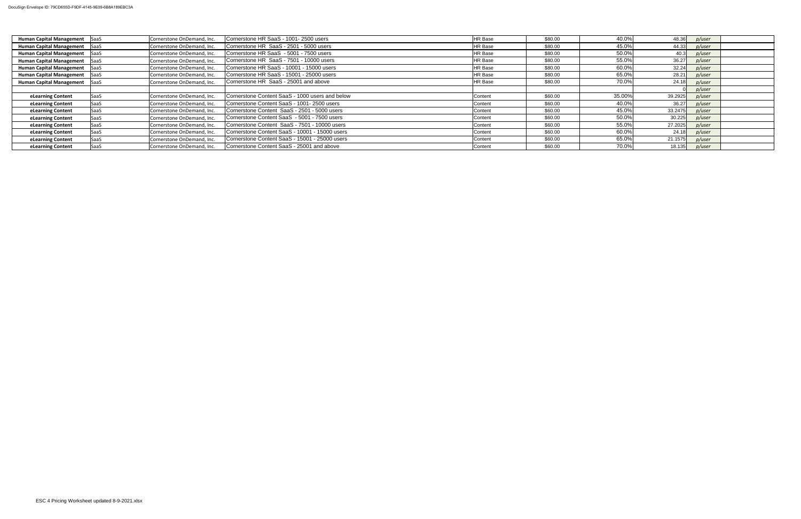| <b>Human Capital Management</b> SaaS |             | Cornerstone OnDemand, Inc. | Cornerstone HR SaaS - 1001-2500 users           | HR Base        | \$80.00 | 40.0%  | 48.36   | p/user |  |
|--------------------------------------|-------------|----------------------------|-------------------------------------------------|----------------|---------|--------|---------|--------|--|
| <b>Human Capital Management</b> SaaS |             | Cornerstone OnDemand, Inc. | Cornerstone HR SaaS - 2501 - 5000 users         | <b>HR Base</b> | \$80.00 | 45.0%  | 44.33   | p/user |  |
| Human Capital Management SaaS        |             | Cornerstone OnDemand, Inc. | Cornerstone HR SaaS - 5001 - 7500 users         | HR Base        | \$80.00 | 50.0%  | 40.3    | p/user |  |
| <b>Human Capital Management</b>      | SaaS        | Cornerstone OnDemand, Inc. | Cornerstone HR SaaS - 7501 - 10000 users        | HR Base        | \$80.00 | 55.0%  | 36.27   | p/user |  |
| <b>Human Capital Management</b> SaaS |             | Cornerstone OnDemand, Inc. | Cornerstone HR SaaS - 10001 - 15000 users       | HR Base        | \$80.00 | 60.0%  | 32.24   | p/user |  |
| Human Capital Management SaaS        |             | Cornerstone OnDemand, Inc. | Cornerstone HR SaaS - 15001 - 25000 users       | HR Base        | \$80.00 | 65.0%  | 28.21   | p/user |  |
| <b>Human Capital Management</b>      | SaaS        | Cornerstone OnDemand, Inc. | Cornerstone HR SaaS - 25001 and above           | HR Base        | \$80.00 | 70.0%  | 24.18   | p/user |  |
|                                      |             |                            |                                                 |                |         |        |         | p/user |  |
| eLearning Content                    | SaaS        | Cornerstone OnDemand, Inc. | Cornerstone Content SaaS - 1000 users and below | Content        | \$60.00 | 35.00% | 39.2925 | p/user |  |
| eLearning Content                    | <b>SaaS</b> | Cornerstone OnDemand, Inc. | Cornerstone Content SaaS - 1001-2500 users      | Content        | \$60.00 | 40.0%  | 36.27   | p/user |  |
| eLearning Content                    | <b>SaaS</b> | Cornerstone OnDemand, Inc. | Cornerstone Content SaaS - 2501 - 5000 users    | Content        | \$60.00 | 45.0%  | 33.2475 | p/user |  |
| eLearning Content                    | <b>SaaS</b> | Cornerstone OnDemand, Inc. | Cornerstone Content SaaS - 5001 - 7500 users    | Content        | \$60.00 | 50.0%  | 30.225  | p/user |  |
| eLearning Content                    | <b>SaaS</b> | Cornerstone OnDemand, Inc. | Cornerstone Content SaaS - 7501 - 10000 users   | Content        | \$60.00 | 55.0%  | 27.2025 | p/user |  |
| eLearning Content                    | <b>SaaS</b> | Cornerstone OnDemand, Inc. | Cornerstone Content SaaS - 10001 - 15000 users  | Content        | \$60.00 | 60.0%  | 24.18   | p/user |  |
| eLearning Content                    | SaaS        | Cornerstone OnDemand, Inc. | Cornerstone Content SaaS - 15001 - 25000 users  | Content        | \$60.00 | 65.0%  | 21.1575 | p/user |  |
| eLearning Content                    | <b>SaaS</b> | Cornerstone OnDemand, Inc. | Cornerstone Content SaaS - 25001 and above      | Content        | \$60.00 | 70.0%  | 18.135  | p/user |  |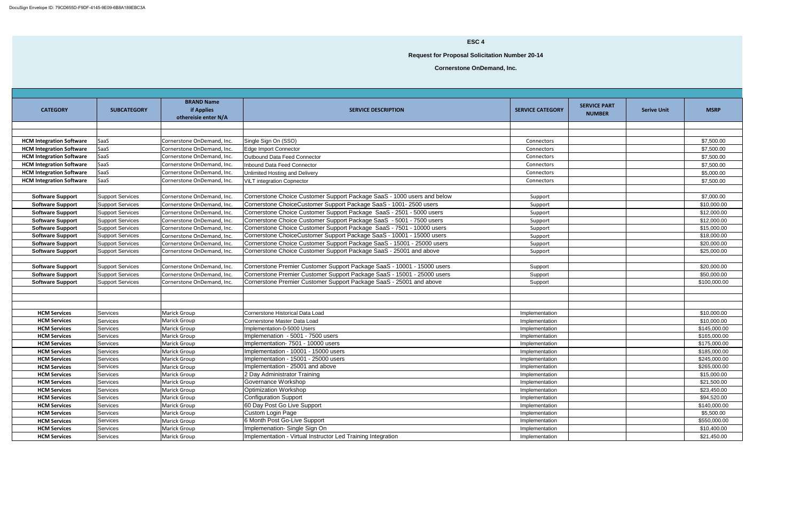| <b>CATEGORY</b>                 | <b>SUBCATEGORY</b>      | <b>BRAND Name</b><br><b>if Applies</b><br>othereisie enter N/A | <b>SERVICE DESCRIPTION</b>                                              | <b>SERVICE CATEGORY</b> | <b>SERVICE PART</b><br><b>NUMBER</b> | <b>Serive Unit</b> | <b>MSRP</b>  |
|---------------------------------|-------------------------|----------------------------------------------------------------|-------------------------------------------------------------------------|-------------------------|--------------------------------------|--------------------|--------------|
|                                 |                         |                                                                |                                                                         |                         |                                      |                    |              |
|                                 |                         |                                                                |                                                                         |                         |                                      |                    |              |
| <b>HCM Integration Software</b> | SaaS                    | Cornerstone OnDemand, Inc.                                     | Single Sign On (SSO)                                                    | Connectors              |                                      |                    | \$7,500.00   |
| <b>HCM Integration Software</b> | <b>SaaS</b>             | Cornerstone OnDemand, Inc.                                     | Edge Import Connector                                                   | Connectors              |                                      |                    | \$7,500.00   |
| <b>HCM Integration Software</b> | <b>SaaS</b>             | Cornerstone OnDemand, Inc.                                     | <b>Outbound Data Feed Connector</b>                                     | Connectors              |                                      |                    | \$7,500.00   |
| <b>HCM Integration Software</b> | <b>SaaS</b>             | Cornerstone OnDemand, Inc.                                     | Inbound Data Feed Connector                                             | Connectors              |                                      |                    | \$7,500.00   |
| <b>HCM Integration Software</b> | <b>SaaS</b>             | Cornerstone OnDemand, Inc.                                     | Unlimited Hosting and Delivery                                          | Connectors              |                                      |                    | \$5,000.00   |
| <b>HCM Integration Software</b> | <b>SaaS</b>             | Cornerstone OnDemand, Inc.                                     | <b>ViLT</b> integration Copnector                                       | Connectors              |                                      |                    | \$7,500.00   |
|                                 |                         |                                                                |                                                                         |                         |                                      |                    |              |
| <b>Software Support</b>         | <b>Support Services</b> | Cornerstone OnDemand, Inc.                                     | Cornerstone Choice Customer Support Package SaaS - 1000 users and below | Support                 |                                      |                    | \$7,000.00   |
| <b>Software Support</b>         | <b>Support Services</b> | Cornerstone OnDemand, Inc.                                     | Cornerstone ChoiceCustomer Support Package SaaS - 1001-2500 users       | Support                 |                                      |                    | \$10,000.00  |
| <b>Software Support</b>         | <b>Support Services</b> | Cornerstone OnDemand, Inc.                                     | Cornerstone Choice Customer Support Package SaaS - 2501 - 5000 users    | Support                 |                                      |                    | \$12,000.00  |
| <b>Software Support</b>         | <b>Support Services</b> | Cornerstone OnDemand, Inc.                                     | Cornerstone Choice Customer Support Package SaaS - 5001 - 7500 users    | Support                 |                                      |                    | \$12,000.00  |
| <b>Software Support</b>         | <b>Support Services</b> | Cornerstone OnDemand, Inc.                                     | Cornerstone Choice Customer Support Package SaaS - 7501 - 10000 users   | Support                 |                                      |                    | \$15,000.00  |
| <b>Software Support</b>         | <b>Support Services</b> | Cornerstone OnDemand, Inc.                                     | Cornerstone ChoiceCustomer Support Package SaaS - 10001 - 15000 users   | Support                 |                                      |                    | \$18,000.00  |
| <b>Software Support</b>         | <b>Support Services</b> | Cornerstone OnDemand, Inc.                                     | Cornerstone Choice Customer Support Package SaaS - 15001 - 25000 users  | Support                 |                                      |                    | \$20,000.00  |
| <b>Software Support</b>         | <b>Support Services</b> | Cornerstone OnDemand, Inc.                                     | Cornerstone Choice Customer Support Package SaaS - 25001 and above      | Support                 |                                      |                    | \$25,000.00  |
|                                 |                         |                                                                |                                                                         |                         |                                      |                    |              |
| <b>Software Support</b>         | <b>Support Services</b> | Cornerstone OnDemand, Inc.                                     | Cornerstone Premier Customer Support Package SaaS - 10001 - 15000 users | Support                 |                                      |                    | \$20,000.00  |
| <b>Software Support</b>         | <b>Support Services</b> | Cornerstone OnDemand, Inc.                                     | Cornerstone Premier Customer Support Package SaaS - 15001 - 25000 users | Support                 |                                      |                    | \$50,000.00  |
| <b>Software Support</b>         | <b>Support Services</b> | Cornerstone OnDemand, Inc.                                     | Cornerstone Premier Customer Support Package SaaS - 25001 and above     | Support                 |                                      |                    | \$100,000.00 |
|                                 |                         |                                                                |                                                                         |                         |                                      |                    |              |
|                                 |                         |                                                                |                                                                         |                         |                                      |                    |              |
|                                 |                         |                                                                |                                                                         |                         |                                      |                    |              |
| <b>HCM Services</b>             | Services                | Marick Group                                                   | Cornerstone Historical Data Load                                        | Implementation          |                                      |                    | \$10,000.00  |
| <b>HCM Services</b>             | Services                | Marick Group                                                   | Cornerstone Master Data Load                                            | Implementation          |                                      |                    | \$10,000.00  |
| <b>HCM Services</b>             | Services                | Marick Group                                                   | Implementation-0-5000 Users                                             | Implementation          |                                      |                    | \$145,000.00 |
| <b>HCM Services</b>             | Services                | Marick Group                                                   | Implemenation - 5001 - 7500 users                                       | Implementation          |                                      |                    | \$165,000.00 |
| <b>HCM Services</b>             | <b>Services</b>         | Marick Group                                                   | Implementation- 7501 - 10000 users                                      | Implementation          |                                      |                    | \$175,000.00 |
| <b>HCM Services</b>             | Services                | Marick Group                                                   | Implementation - 10001 - 15000 users                                    | Implementation          |                                      |                    | \$185,000.00 |
| <b>HCM Services</b>             | Services                | Marick Group                                                   | Implementation - 15001 - 25000 users                                    | Implementation          |                                      |                    | \$245,000.00 |
| <b>HCM Services</b>             | <b>Services</b>         | Marick Group                                                   | Implementation - 25001 and above                                        | Implementation          |                                      |                    | \$265,000.00 |
| <b>HCM Services</b>             | Services                | Marick Group                                                   | 2 Day Administrator Training                                            | Implementation          |                                      |                    | \$15,000.00  |
| <b>HCM Services</b>             | Services                | Marick Group                                                   | Governance Workshop                                                     | Implementation          |                                      |                    | \$21,500.00  |
| <b>HCM Services</b>             | Services                | Marick Group                                                   | <b>Optimization Workshop</b>                                            | Implementation          |                                      |                    | \$23,450.00  |
| <b>HCM Services</b>             | Services                | Marick Group                                                   | Configuration Support                                                   | Implementation          |                                      |                    | \$94,520.00  |
| <b>HCM Services</b>             | <b>Services</b>         | Marick Group                                                   | 60 Day Post Go Live Support                                             | Implementation          |                                      |                    | \$140,000.00 |
| <b>HCM Services</b>             | Services                | Marick Group                                                   | Custom Login Page                                                       | Implementation          |                                      |                    | \$5,500.00   |
| <b>HCM Services</b>             | Services                | Marick Group                                                   | 6 Month Post Go-Live Support                                            | Implementation          |                                      |                    | \$550,000.00 |
| <b>HCM Services</b>             | Services                | Marick Group                                                   | Implemenation-Single Sign On                                            | Implementation          |                                      |                    | \$10,400.00  |
| <b>HCM Services</b>             | Services                | Marick Group                                                   | Implementation - Virtual Instructor Led Training Integration            | Implementation          |                                      |                    | \$21,450.00  |

## **ESC 4**

**Request for Proposal Solicitation Number 20-14**

**Cornerstone OnDemand, Inc.**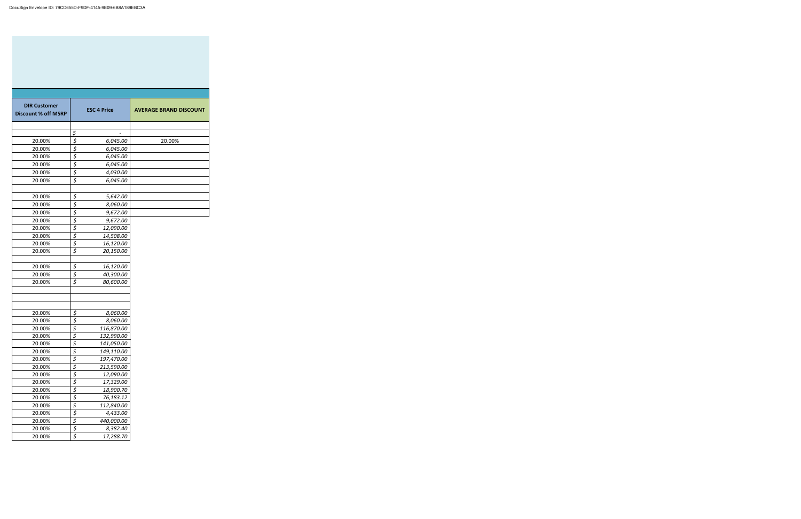| <b>DIR Customer</b><br><b>Discount % off MSRP</b> |                                 | <b>ESC 4 Price</b> | <b>AVERAGE BRAND DISCOUNT</b> |
|---------------------------------------------------|---------------------------------|--------------------|-------------------------------|
|                                                   |                                 |                    |                               |
|                                                   | \$                              |                    |                               |
| 20.00%                                            | $\overline{\xi}$                | 6,045.00           | 20.00%                        |
| 20.00%                                            | $\overline{\xi}$                | 6,045.00           |                               |
| 20.00%                                            | $\overline{\mathcal{L}}$        | 6,045.00           |                               |
| 20.00%                                            | $rac{5}{5}$                     | 6,045.00           |                               |
| 20.00%                                            |                                 | 4,030.00           |                               |
| 20.00%                                            | $\overline{\xi}$                | 6,045.00           |                               |
|                                                   |                                 |                    |                               |
| 20.00%                                            | \$                              | 5,642.00           |                               |
| 20.00%                                            | $\overline{\xi}$                | 8,060.00           |                               |
| 20.00%                                            | $\overline{\xi}$                | 9,672.00           |                               |
| 20.00%                                            | $\frac{5}{5}$<br>$\frac{5}{5}$  | 9,672.00           |                               |
| 20.00%                                            |                                 | 12,090.00          |                               |
| 20.00%                                            |                                 | 14,508.00          |                               |
| 20.00%                                            |                                 | 16,120.00          |                               |
| 20.00%                                            | $\overline{\xi}$                | 20,150.00          |                               |
| 20.00%                                            | \$                              | 16,120.00          |                               |
| 20.00%                                            | \$                              | 40,300.00          |                               |
| 20.00%                                            | $\overline{\boldsymbol{\zeta}}$ | 80,600.00          |                               |
|                                                   |                                 |                    |                               |
| 20.00%                                            |                                 | 8,060.00           |                               |
| 20.00%                                            | $rac{5}{5}$                     | 8,060.00           |                               |
| 20.00%                                            | $\overline{\underline{\xi}}$    | 116,870.00         |                               |
| 20.00%                                            | $\overline{5}$                  | 132,990.00         |                               |
| 20.00%                                            | $\overline{\mathcal{L}}$        | 141,050.00         |                               |
| 20.00%                                            | \$                              | 149,110.00         |                               |
| 20.00%                                            |                                 | 197,470.00         |                               |
| 20.00%                                            |                                 | 213,590.00         |                               |
| 20.00%                                            |                                 | 12,090.00          |                               |
| 20.00%                                            | $rac{5}{5}$<br>$rac{5}{5}$      | 17,329.00          |                               |
| 20.00%                                            | $rac{5}{5}$<br>$rac{5}{5}$      | 18,900.70          |                               |
| 20.00%                                            |                                 | 76,183.12          |                               |
| 20.00%                                            |                                 | 112,840.00         |                               |
| 20.00%                                            | $rac{5}{5}$                     | 4,433.00           |                               |
| 20.00%                                            |                                 | 440,000.00         |                               |
| 20.00%                                            | $\overline{\mathcal{L}}$        | 8,382.40           |                               |
| 20.00%                                            | \$                              | 17,288.70          |                               |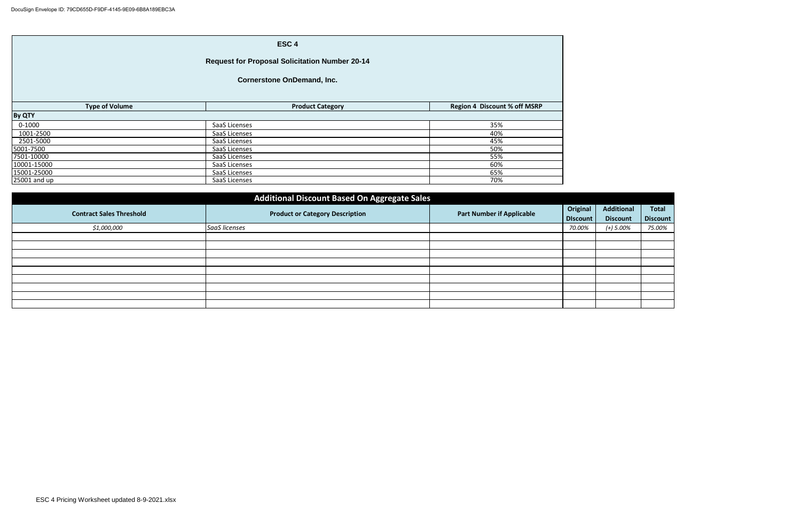| ESC <sub>4</sub>                                      |                         |                                     |  |  |  |  |  |
|-------------------------------------------------------|-------------------------|-------------------------------------|--|--|--|--|--|
| <b>Request for Proposal Solicitation Number 20-14</b> |                         |                                     |  |  |  |  |  |
| <b>Cornerstone OnDemand, Inc.</b>                     |                         |                                     |  |  |  |  |  |
| <b>Type of Volume</b>                                 | <b>Product Category</b> | <b>Region 4 Discount % off MSRP</b> |  |  |  |  |  |
| <b>By QTY</b>                                         |                         |                                     |  |  |  |  |  |
| $0 - 1000$                                            | SaaS Licenses           | 35%                                 |  |  |  |  |  |
| 1001-2500                                             | SaaS Licenses           | 40%                                 |  |  |  |  |  |
| 2501-5000                                             | SaaS Licenses           | 45%                                 |  |  |  |  |  |
| 5001-7500                                             | SaaS Licenses           | 50%                                 |  |  |  |  |  |
| 7501-10000                                            | SaaS Licenses           | 55%                                 |  |  |  |  |  |
| 10001-15000                                           | SaaS Licenses           | 60%                                 |  |  |  |  |  |
| 15001-25000                                           | SaaS Licenses           | 65%                                 |  |  |  |  |  |
| 25001 and up                                          | SaaS Licenses           | 70%                                 |  |  |  |  |  |

| Additional Discount Based On Aggregate Sales |                                        |                                  |          |                   |                 |  |  |  |
|----------------------------------------------|----------------------------------------|----------------------------------|----------|-------------------|-----------------|--|--|--|
| <b>Contract Sales Threshold</b>              | <b>Product or Category Description</b> | <b>Part Number if Applicable</b> | Original | <b>Additional</b> | <b>Total</b>    |  |  |  |
|                                              |                                        |                                  | Discount | <b>Discount</b>   | <b>Discount</b> |  |  |  |
| \$1,000,000                                  | SaaS licenses                          |                                  | 70.00%   | (+) 5.00%         | 75.00%          |  |  |  |
|                                              |                                        |                                  |          |                   |                 |  |  |  |
|                                              |                                        |                                  |          |                   |                 |  |  |  |
|                                              |                                        |                                  |          |                   |                 |  |  |  |
|                                              |                                        |                                  |          |                   |                 |  |  |  |
|                                              |                                        |                                  |          |                   |                 |  |  |  |
|                                              |                                        |                                  |          |                   |                 |  |  |  |
|                                              |                                        |                                  |          |                   |                 |  |  |  |
|                                              |                                        |                                  |          |                   |                 |  |  |  |
|                                              |                                        |                                  |          |                   |                 |  |  |  |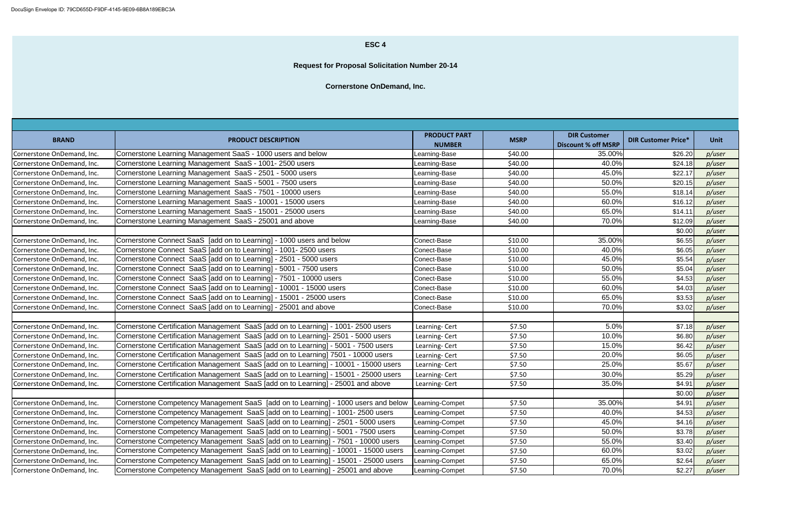| <b>BRAND</b>               | <b>PRODUCT DESCRIPTION</b>                                                           | <b>PRODUCT PART</b><br><b>NUMBER</b> | <b>MSRP</b> | <b>DIR Customer</b><br><b>Discount % off MSRP</b> | <b>DIR Customer Price*</b> | <b>Unit</b> |
|----------------------------|--------------------------------------------------------------------------------------|--------------------------------------|-------------|---------------------------------------------------|----------------------------|-------------|
| Cornerstone OnDemand, Inc. | Cornerstone Learning Management SaaS - 1000 users and below                          | Learning-Base                        | \$40.00     | 35.00%                                            | \$26.20                    | p/user      |
| Cornerstone OnDemand, Inc. | Cornerstone Learning Management SaaS - 1001-2500 users                               | Learning-Base                        | \$40.00     | 40.0%                                             | \$24.18                    | p/user      |
| Cornerstone OnDemand, Inc. | Cornerstone Learning Management SaaS - 2501 - 5000 users                             | Learning-Base                        | \$40.00     | 45.0%                                             | \$22.1                     | p/user      |
| Cornerstone OnDemand, Inc. | Cornerstone Learning Management SaaS - 5001 - 7500 users                             | Learning-Base                        | \$40.00     | 50.0%                                             | \$20.15                    | p/user      |
| Cornerstone OnDemand, Inc. | Cornerstone Learning Management SaaS - 7501 - 10000 users                            | Learning-Base                        | \$40.00     | 55.0%                                             | \$18.14                    | p/user      |
| Cornerstone OnDemand, Inc. | Cornerstone Learning Management SaaS - 10001 - 15000 users                           | Learning-Base                        | \$40.00     | 60.0%                                             | \$16.12                    | p/user      |
| Cornerstone OnDemand, Inc. | Cornerstone Learning Management SaaS - 15001 - 25000 users                           | Learning-Base                        | \$40.00     | 65.0%                                             | \$14.11                    | p/user      |
| Cornerstone OnDemand, Inc. | Cornerstone Learning Management SaaS - 25001 and above                               | Learning-Base                        | \$40.00     | 70.0%                                             | \$12.09                    | p/user      |
|                            |                                                                                      |                                      |             |                                                   | \$0.00                     | p/user      |
| Cornerstone OnDemand, Inc. | Cornerstone Connect SaaS [add on to Learning] - 1000 users and below                 | Conect-Base                          | \$10.00     | 35.00%                                            | \$6.55                     | p/user      |
| Cornerstone OnDemand, Inc. | Cornerstone Connect SaaS [add on to Learning] - 1001-2500 users                      | Conect-Base                          | \$10.00     | 40.0%                                             | \$6.05                     | p/user      |
| Cornerstone OnDemand, Inc. | Cornerstone Connect SaaS [add on to Learning] - 2501 - 5000 users                    | Conect-Base                          | \$10.00     | 45.0%                                             | \$5.54                     | p/user      |
| Cornerstone OnDemand, Inc. | Cornerstone Connect SaaS [add on to Learning] - 5001 - 7500 users                    | Conect-Base                          | \$10.00     | 50.0%                                             | \$5.04                     | p/user      |
| Cornerstone OnDemand, Inc. | Cornerstone Connect SaaS [add on to Learning] - 7501 - 10000 users                   | Conect-Base                          | \$10.00     | 55.0%                                             | \$4.53                     | p/user      |
| Cornerstone OnDemand, Inc. | Cornerstone Connect SaaS [add on to Learning] - 10001 - 15000 users                  | Conect-Base                          | \$10.00     | 60.0%                                             | \$4.03                     | p/user      |
| Cornerstone OnDemand, Inc. | Cornerstone Connect SaaS [add on to Learning] - 15001 - 25000 users                  | Conect-Base                          | \$10.00     | 65.0%                                             | \$3.53                     | p/user      |
| Cornerstone OnDemand, Inc. | Cornerstone Connect SaaS [add on to Learning] - 25001 and above                      | Conect-Base                          | \$10.00     | 70.0%                                             | \$3.02                     | p/user      |
| Cornerstone OnDemand, Inc. | Cornerstone Certification Management SaaS [add on to Learning] - 1001-2500 users     | Learning-Cert                        | \$7.50      | 5.0%                                              | \$7.18                     | p/user      |
| Cornerstone OnDemand, Inc. | Cornerstone Certification Management SaaS [add on to Learning]- 2501 - 5000 users    | Learning- Cert                       | \$7.50      | 10.0%                                             | \$6.80                     | p/user      |
| Cornerstone OnDemand, Inc. | Cornerstone Certification Management SaaS [add on to Learning] - 5001 - 7500 users   | Learning-Cert                        | \$7.50      | 15.0%                                             | \$6.42                     | p/user      |
| Cornerstone OnDemand, Inc. | Cornerstone Certification Management SaaS [add on to Learning] 7501 - 10000 users    | Learning-Cert                        | \$7.50      | 20.0%                                             | \$6.05                     | p/user      |
| Cornerstone OnDemand, Inc. | Cornerstone Certification Management SaaS [add on to Learning] - 10001 - 15000 users | Learning-Cert                        | \$7.50      | 25.0%                                             | \$5.67                     | p/user      |
| Cornerstone OnDemand, Inc. | Cornerstone Certification Management SaaS [add on to Learning] - 15001 - 25000 users | Learning-Cert                        | \$7.50      | 30.0%                                             | \$5.29                     | p/user      |
| Cornerstone OnDemand, Inc. | Cornerstone Certification Management SaaS [add on to Learning] - 25001 and above     | Learning- Cert                       | \$7.50      | 35.0%                                             | \$4.91                     | p/user      |
|                            |                                                                                      |                                      |             |                                                   | \$0.00                     | p/user      |
| Cornerstone OnDemand, Inc. | Cornerstone Competency Management SaaS [add on to Learning] - 1000 users and below   | Learning-Compet                      | \$7.50      | 35.00%                                            | \$4.91                     | p/user      |
| Cornerstone OnDemand, Inc. | Cornerstone Competency Management SaaS [add on to Learning] - 1001-2500 users        | Learning-Compet                      | \$7.50      | 40.0%                                             | \$4.53                     | p/user      |
| Cornerstone OnDemand, Inc. | Cornerstone Competency Management SaaS [add on to Learning] - 2501 - 5000 users      | Learning-Compet                      | \$7.50      | 45.0%                                             | \$4.16                     | p/user      |
| Cornerstone OnDemand, Inc. | Cornerstone Competency Management SaaS [add on to Learning] - 5001 - 7500 users      | Learning-Compet                      | \$7.50      | 50.0%                                             | \$3.78                     | p/user      |
| Cornerstone OnDemand, Inc. | Cornerstone Competency Management SaaS [add on to Learning] - 7501 - 10000 users     | Learning-Compet                      | \$7.50      | 55.0%                                             | \$3.40                     | p/user      |
| Cornerstone OnDemand, Inc. | Cornerstone Competency Management SaaS [add on to Learning] - 10001 - 15000 users    | Learning-Compet                      | \$7.50      | 60.0%                                             | \$3.02                     | p/user      |
| Cornerstone OnDemand, Inc. | Cornerstone Competency Management SaaS [add on to Learning] - 15001 - 25000 users    | Learning-Compet                      | \$7.50      | 65.0%                                             | \$2.64                     | p/user      |
| Cornerstone OnDemand, Inc. | Cornerstone Competency Management SaaS [add on to Learning] - 25001 and above        | Learning-Compet                      | \$7.50      | 70.0%                                             | \$2.27                     | p/user      |

### **ESC 4**

**Request for Proposal Solicitation Number 20-14**

**Cornerstone OnDemand, Inc.**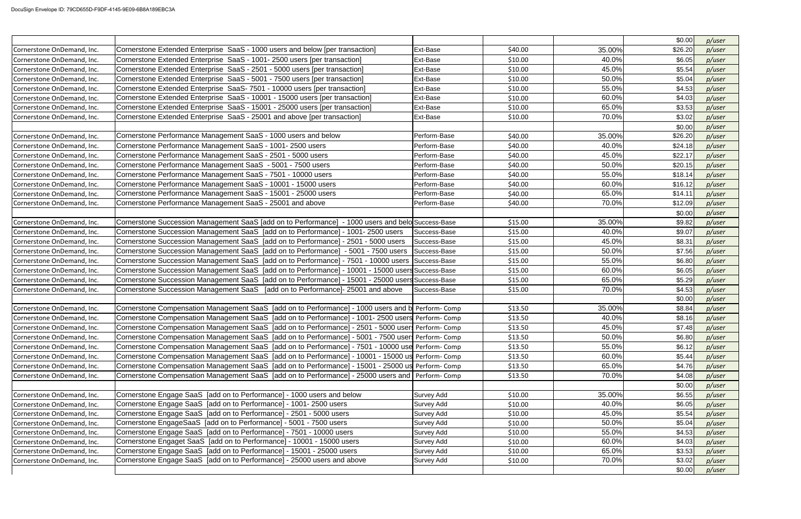|                            |                                                                                                   |                   |         |        | \$0.00  | p/user |
|----------------------------|---------------------------------------------------------------------------------------------------|-------------------|---------|--------|---------|--------|
| Cornerstone OnDemand, Inc. | Cornerstone Extended Enterprise SaaS - 1000 users and below [per transaction]                     | Ext-Base          | \$40.00 | 35.00% | \$26.20 | p/user |
| Cornerstone OnDemand, Inc. | Cornerstone Extended Enterprise SaaS - 1001- 2500 users [per transaction]                         | Ext-Base          | \$10.00 | 40.0%  | \$6.05  | p/user |
| Cornerstone OnDemand, Inc. | Cornerstone Extended Enterprise SaaS - 2501 - 5000 users [per transaction]                        | Ext-Base          | \$10.00 | 45.0%  | \$5.54  | p/user |
| Cornerstone OnDemand, Inc. | Cornerstone Extended Enterprise SaaS - 5001 - 7500 users [per transaction]                        | Ext-Base          | \$10.00 | 50.0%  | \$5.04  | p/user |
| Cornerstone OnDemand, Inc. | Cornerstone Extended Enterprise SaaS-7501 - 10000 users [per transaction]                         | Ext-Base          | \$10.00 | 55.0%  | \$4.53  | p/user |
| Cornerstone OnDemand, Inc. | Cornerstone Extended Enterprise SaaS - 10001 - 15000 users [per transaction]                      | Ext-Base          | \$10.00 | 60.0%  | \$4.03  | p/user |
| Cornerstone OnDemand, Inc. | Cornerstone Extended Enterprise SaaS - 15001 - 25000 users [per transaction]                      | Ext-Base          | \$10.00 | 65.0%  | \$3.53  | p/user |
| Cornerstone OnDemand, Inc. | Cornerstone Extended Enterprise SaaS - 25001 and above [per transaction]                          | Ext-Base          | \$10.00 | 70.0%  | \$3.02  | p/user |
|                            |                                                                                                   |                   |         |        | \$0.00  | p/user |
| Cornerstone OnDemand, Inc. | Cornerstone Performance Management SaaS - 1000 users and below                                    | Perform-Base      | \$40.00 | 35.00% | \$26.20 | p/user |
| Cornerstone OnDemand, Inc. | Cornerstone Performance Management SaaS - 1001- 2500 users                                        | Perform-Base      | \$40.00 | 40.0%  | \$24.18 | p/user |
| Cornerstone OnDemand, Inc. | Cornerstone Performance Management SaaS - 2501 - 5000 users                                       | Perform-Base      | \$40.00 | 45.0%  | \$22.17 | p/user |
| Cornerstone OnDemand, Inc. | Cornerstone Performance Management SaaS - 5001 - 7500 users                                       | Perform-Base      | \$40.00 | 50.0%  | \$20.15 | p/user |
| Cornerstone OnDemand, Inc. | Cornerstone Performance Management SaaS - 7501 - 10000 users                                      | Perform-Base      | \$40.00 | 55.0%  | \$18.14 | p/user |
| Cornerstone OnDemand, Inc. | Cornerstone Performance Management SaaS - 10001 - 15000 users                                     | Perform-Base      | \$40.00 | 60.0%  | \$16.12 | p/user |
| Cornerstone OnDemand, Inc. | Cornerstone Performance Management SaaS - 15001 - 25000 users                                     | Perform-Base      | \$40.00 | 65.0%  | \$14.11 | p/user |
| Cornerstone OnDemand, Inc. | Cornerstone Performance Management SaaS - 25001 and above                                         | Perform-Base      | \$40.00 | 70.0%  | \$12.09 | p/user |
|                            |                                                                                                   |                   |         |        | \$0.00  | p/user |
| Cornerstone OnDemand, Inc. | Cornerstone Succession Management SaaS [add on to Performance] - 1000 users and belo Success-Base |                   | \$15.00 | 35.00% | \$9.82  | p/user |
| Cornerstone OnDemand, Inc. | Cornerstone Succession Management SaaS [add on to Performance] - 1001- 2500 users                 | Success-Base      | \$15.00 | 40.0%  | \$9.07  | p/user |
| Cornerstone OnDemand, Inc. | Cornerstone Succession Management SaaS [add on to Performance] - 2501 - 5000 users                | Success-Base      | \$15.00 | 45.0%  | \$8.31  | p/user |
| Cornerstone OnDemand, Inc. | Cornerstone Succession Management SaaS [add on to Performance] - 5001 - 7500 users                | Success-Base      | \$15.00 | 50.0%  | \$7.56  | p/user |
| Cornerstone OnDemand, Inc. | Cornerstone Succession Management SaaS [add on to Performance] - 7501 - 10000 users Success-Base  |                   | \$15.00 | 55.0%  | \$6.80  | p/user |
| Cornerstone OnDemand, Inc. | Cornerstone Succession Management SaaS [add on to Performance] - 10001 - 15000 users Success-Base |                   | \$15.00 | 60.0%  | \$6.05  | p/user |
| Cornerstone OnDemand, Inc. | Cornerstone Succession Management SaaS [add on to Performance] - 15001 - 25000 users Success-Base |                   | \$15.00 | 65.0%  | \$5.29  | p/user |
| Cornerstone OnDemand, Inc. | Cornerstone Succession Management SaaS [add on to Performance]- 25001 and above                   | Success-Base      | \$15.00 | 70.0%  | \$4.53  | p/user |
|                            |                                                                                                   |                   |         |        | \$0.00  | p/user |
| Cornerstone OnDemand, Inc. | Cornerstone Compensation Management SaaS [add on to Performance] - 1000 users and b Perform-Comp  |                   | \$13.50 | 35.00% | \$8.84  | p/user |
| Cornerstone OnDemand, Inc. | Cornerstone Compensation Management SaaS [add on to Performance] - 1001-2500 users Perform-Comp   |                   | \$13.50 | 40.0%  | \$8.16  | p/user |
| Cornerstone OnDemand, Inc. | Cornerstone Compensation Management SaaS [add on to Performance] - 2501 - 5000 users Perform-Comp |                   | \$13.50 | 45.0%  | \$7.48] | p/user |
| Cornerstone OnDemand, Inc. | Cornerstone Compensation Management SaaS [add on to Performance] - 5001 - 7500 users Perform-Comp |                   | \$13.50 | 50.0%  | \$6.80  | p/user |
| Cornerstone OnDemand, Inc. | Cornerstone Compensation Management SaaS [add on to Performance] - 7501 - 10000 use Perform- Comp |                   | \$13.50 | 55.0%  | \$6.12  | p/user |
| Cornerstone OnDemand, Inc. | Cornerstone Compensation Management SaaS [add on to Performance] - 10001 - 15000 us Perform-Comp  |                   | \$13.50 | 60.0%  | \$5.44  | p/user |
| Cornerstone OnDemand, Inc. | Cornerstone Compensation Management SaaS [add on to Performance] - 15001 - 25000 us Perform-Comp  |                   | \$13.50 | 65.0%  | \$4.76  | p/user |
| Cornerstone OnDemand, Inc. | Cornerstone Compensation Management SaaS [add on to Performance] - 25000 users and Perform-Comp   |                   | \$13.50 | 70.0%  | \$4.08  | p/user |
|                            |                                                                                                   |                   |         |        | \$0.00  | p/user |
| Cornerstone OnDemand, Inc. | Cornerstone Engage SaaS [add on to Performance] - 1000 users and below                            | <b>Survey Add</b> | \$10.00 | 35.00% | \$6.55  | p/user |
| Cornerstone OnDemand, Inc. | Cornerstone Engage SaaS [add on to Performance] - 1001-2500 users                                 | Survey Add        | \$10.00 | 40.0%  | \$6.05  | p/user |
| Cornerstone OnDemand, Inc. | Cornerstone Engage SaaS [add on to Performance] - 2501 - 5000 users                               | Survey Add        | \$10.00 | 45.0%  | \$5.54  | p/user |
| Cornerstone OnDemand, Inc. | Cornerstone EngageSaaS [add on to Performance] - 5001 - 7500 users                                | <b>Survey Add</b> | \$10.00 | 50.0%  | \$5.04  | p/user |
| Cornerstone OnDemand, Inc. | Cornerstone Engage SaaS [add on to Performance] - 7501 - 10000 users                              | <b>Survey Add</b> | \$10.00 | 55.0%  | \$4.53  | p/user |
| Cornerstone OnDemand, Inc. | Cornerstone Engaget SaaS [add on to Performance] - 10001 - 15000 users                            | <b>Survey Add</b> | \$10.00 | 60.0%  | \$4.03  | p/user |
| Cornerstone OnDemand, Inc. | Cornerstone Engage SaaS [add on to Performance] - 15001 - 25000 users                             | <b>Survey Add</b> | \$10.00 | 65.0%  | \$3.53  | p/user |
| Cornerstone OnDemand, Inc. | Cornerstone Engage SaaS [add on to Performance] - 25000 users and above                           | Survey Add        | \$10.00 | 70.0%  | \$3.02  | p/user |
|                            |                                                                                                   |                   |         |        | \$0.00  | p/user |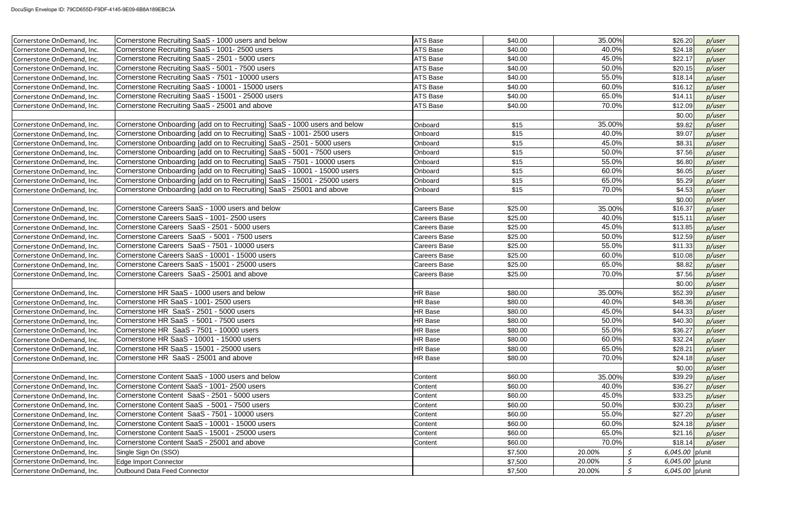| Cornerstone OnDemand, Inc. | Cornerstone Recruiting SaaS - 1000 users and below                        | ATS Base            | \$40.00 | 35.00% | \$26.20         | p/user |
|----------------------------|---------------------------------------------------------------------------|---------------------|---------|--------|-----------------|--------|
| Cornerstone OnDemand, Inc. | Cornerstone Recruiting SaaS - 1001- 2500 users                            | <b>ATS Base</b>     | \$40.00 | 40.0%  | \$24.18         | p/user |
| Cornerstone OnDemand, Inc. | Cornerstone Recruiting SaaS - 2501 - 5000 users                           | <b>ATS Base</b>     | \$40.00 | 45.0%  | \$22.17         | p/user |
| Cornerstone OnDemand, Inc. | Cornerstone Recruiting SaaS - 5001 - 7500 users                           | ATS Base            | \$40.00 | 50.0%  | \$20.15         | p/user |
| Cornerstone OnDemand, Inc. | Cornerstone Recruiting SaaS - 7501 - 10000 users                          | ATS Base            | \$40.00 | 55.0%  | \$18.14         | p/user |
| Cornerstone OnDemand, Inc. | Cornerstone Recruiting SaaS - 10001 - 15000 users                         | <b>ATS Base</b>     | \$40.00 | 60.0%  | \$16.12         | p/user |
| Cornerstone OnDemand, Inc. | Cornerstone Recruiting SaaS - 15001 - 25000 users                         | <b>ATS Base</b>     | \$40.00 | 65.0%  | \$14.11         | p/user |
| Cornerstone OnDemand, Inc. | Cornerstone Recruiting SaaS - 25001 and above                             | <b>ATS Base</b>     | \$40.00 | 70.0%  | \$12.09         | p/user |
|                            |                                                                           |                     |         |        | \$0.00          | p/user |
| Cornerstone OnDemand, Inc. | Cornerstone Onboarding [add on to Recruiting] SaaS - 1000 users and below | Onboard             | \$15    | 35.00% | \$9.82          | p/user |
| Cornerstone OnDemand, Inc. | Cornerstone Onboarding [add on to Recruiting] SaaS - 1001- 2500 users     | Onboard             | \$15    | 40.0%  | \$9.07          | p/user |
| Cornerstone OnDemand, Inc. | Cornerstone Onboarding [add on to Recruiting] SaaS - 2501 - 5000 users    | Onboard             | \$15    | 45.0%  | \$8.31          | p/user |
| Cornerstone OnDemand, Inc. | Cornerstone Onboarding [add on to Recruiting] SaaS - 5001 - 7500 users    | Onboard             | \$15    | 50.0%  | \$7.56          | p/user |
| Cornerstone OnDemand, Inc. | Cornerstone Onboarding [add on to Recruiting] SaaS - 7501 - 10000 users   | Onboard             | \$15    | 55.0%  | \$6.80          | p/user |
| Cornerstone OnDemand, Inc. | Cornerstone Onboarding [add on to Recruiting] SaaS - 10001 - 15000 users  | Onboard             | \$15    | 60.0%  | \$6.05          | p/user |
| Cornerstone OnDemand, Inc. | Cornerstone Onboarding [add on to Recruiting] SaaS - 15001 - 25000 users  | Onboard             | \$15    | 65.0%  | \$5.29          | p/user |
| Cornerstone OnDemand, Inc. | Cornerstone Onboarding [add on to Recruiting] SaaS - 25001 and above      | Onboard             | \$15    | 70.0%  | \$4.53          | p/user |
|                            |                                                                           |                     |         |        | \$0.00          | p/user |
| Cornerstone OnDemand, Inc. | Cornerstone Careers SaaS - 1000 users and below                           | <b>Careers Base</b> | \$25.00 | 35.00% | \$16.37         | p/user |
| Cornerstone OnDemand, Inc. | Cornerstone Careers SaaS - 1001-2500 users                                | <b>Careers Base</b> | \$25.00 | 40.0%  | \$15.11         | p/user |
| Cornerstone OnDemand, Inc. | Cornerstone Careers SaaS - 2501 - 5000 users                              | <b>Careers Base</b> | \$25.00 | 45.0%  | \$13.85         | p/user |
| Cornerstone OnDemand, Inc. | Cornerstone Careers SaaS - 5001 - 7500 users                              | Careers Base        | \$25.00 | 50.0%  | \$12.59         | p/user |
| Cornerstone OnDemand, Inc. | Cornerstone Careers SaaS - 7501 - 10000 users                             | <b>Careers Base</b> | \$25.00 | 55.0%  | \$11.33         | p/user |
| Cornerstone OnDemand, Inc. | Cornerstone Careers SaaS - 10001 - 15000 users                            | <b>Careers Base</b> | \$25.00 | 60.0%  | \$10.08         | p/user |
| Cornerstone OnDemand, Inc. | Cornerstone Careers SaaS - 15001 - 25000 users                            | Careers Base        | \$25.00 | 65.0%  | \$8.82          | p/user |
| Cornerstone OnDemand, Inc. | Cornerstone Careers SaaS - 25001 and above                                | <b>Careers Base</b> | \$25.00 | 70.0%  | \$7.56          | p/user |
|                            |                                                                           |                     |         |        | \$0.00          | p/user |
| Cornerstone OnDemand, Inc. | Cornerstone HR SaaS - 1000 users and below                                | HR Base             | \$80.00 | 35.00% | \$52.39         | p/user |
| Cornerstone OnDemand, Inc. | Cornerstone HR SaaS - 1001- 2500 users                                    | <b>HR Base</b>      | \$80.00 | 40.0%  | \$48.36         | p/user |
| Cornerstone OnDemand, Inc. | Cornerstone HR SaaS - 2501 - 5000 users                                   | HR Base             | \$80.00 | 45.0%  | \$44.33         | p/user |
| Cornerstone OnDemand, Inc. | Cornerstone HR SaaS - 5001 - 7500 users                                   | HR Base             | \$80.00 | 50.0%  | \$40.30         | p/user |
| Cornerstone OnDemand, Inc. | Cornerstone HR SaaS - 7501 - 10000 users                                  | HR Base             | \$80.00 | 55.0%  | \$36.27         | p/user |
| Cornerstone OnDemand, Inc. | Cornerstone HR SaaS - 10001 - 15000 users                                 | HR Base             | \$80.00 | 60.0%  | \$32.24         | p/user |
| Cornerstone OnDemand, Inc. | Cornerstone HR SaaS - 15001 - 25000 users                                 | HR Base             | \$80.00 | 65.0%  | \$28.21         | p/user |
| Cornerstone OnDemand, Inc. | Cornerstone HR SaaS - 25001 and above                                     | HR Base             | \$80.00 | 70.0%  | \$24.18         | p/user |
|                            |                                                                           |                     |         |        | \$0.00          | p/user |
| Cornerstone OnDemand, Inc. | Cornerstone Content SaaS - 1000 users and below                           | Content             | \$60.00 | 35.00% | \$39.29         | p/user |
| Cornerstone OnDemand, Inc. | Cornerstone Content SaaS - 1001-2500 users                                | Content             | \$60.00 | 40.0%  | \$36.27         | p/user |
| Cornerstone OnDemand, Inc. | Cornerstone Content SaaS - 2501 - 5000 users                              | Content             | \$60.00 | 45.0%  | \$33.25         | p/user |
| Cornerstone OnDemand, Inc. | Cornerstone Content SaaS - 5001 - 7500 users                              | Content             | \$60.00 | 50.0%  | \$30.23         | p/user |
| Cornerstone OnDemand, Inc. | Cornerstone Content SaaS - 7501 - 10000 users                             | Content             | \$60.00 | 55.0%  | \$27.20         | p/user |
| Cornerstone OnDemand, Inc. | Cornerstone Content SaaS - 10001 - 15000 users                            | Content             | \$60.00 | 60.0%  | \$24.18         | p/user |
| Cornerstone OnDemand, Inc. | Cornerstone Content SaaS - 15001 - 25000 users                            | Content             | \$60.00 | 65.0%  | \$21.16         | p/user |
| Cornerstone OnDemand, Inc. | Cornerstone Content SaaS - 25001 and above                                | Content             | \$60.00 | 70.0%  | \$18.14         | p/user |
| Cornerstone OnDemand, Inc. | Single Sign On (SSO)                                                      |                     | \$7,500 | 20.00% | 6,045.00 p/unit |        |
| Cornerstone OnDemand, Inc. | Edge Import Connector                                                     |                     | \$7,500 | 20.00% | 6,045.00 p/unit |        |
| Cornerstone OnDemand, Inc. | Outbound Data Feed Connector                                              |                     | \$7,500 | 20.00% | 6,045.00 p/unit |        |